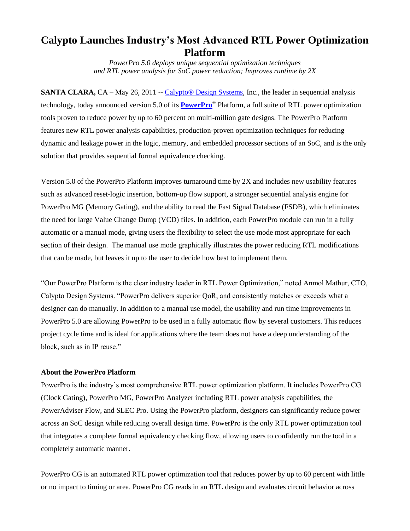## **Calypto Launches Industry's Most Advanced RTL Power Optimization Platform**

*PowerPro 5.0 deploys unique sequential optimization techniques and RTL power analysis for SoC power reduction; Improves runtime by 2X*

**SANTA CLARA,** CA – May 26, 2011 -- Calypto<sup>®</sup> Design Systems, Inc., the leader in sequential analysis technology, today announced version 5.0 of its **[PowerPro](http://www.calypto.com/powerprocg.php)**® Platform, a full suite of RTL power optimization tools proven to reduce power by up to 60 percent on multi-million gate designs. The PowerPro Platform features new RTL power analysis capabilities, production-proven optimization techniques for reducing dynamic and leakage power in the logic, memory, and embedded processor sections of an SoC, and is the only solution that provides sequential formal equivalence checking.

Version 5.0 of the PowerPro Platform improves turnaround time by 2X and includes new usability features such as advanced reset-logic insertion, bottom-up flow support, a stronger sequential analysis engine for PowerPro MG (Memory Gating), and the ability to read the Fast Signal Database (FSDB), which eliminates the need for large Value Change Dump (VCD) files. In addition, each PowerPro module can run in a fully automatic or a manual mode, giving users the flexibility to select the use mode most appropriate for each section of their design. The manual use mode graphically illustrates the power reducing RTL modifications that can be made, but leaves it up to the user to decide how best to implement them.

"Our PowerPro Platform is the clear industry leader in RTL Power Optimization," noted Anmol Mathur, CTO, Calypto Design Systems. "PowerPro delivers superior QoR, and consistently matches or exceeds what a designer can do manually. In addition to a manual use model, the usability and run time improvements in PowerPro 5.0 are allowing PowerPro to be used in a fully automatic flow by several customers. This reduces project cycle time and is ideal for applications where the team does not have a deep understanding of the block, such as in IP reuse."

## **About the PowerPro Platform**

PowerPro is the industry's most comprehensive RTL power optimization platform. It includes PowerPro CG (Clock Gating), PowerPro MG, PowerPro Analyzer including RTL power analysis capabilities, the PowerAdviser Flow, and SLEC Pro. Using the PowerPro platform, designers can significantly reduce power across an SoC design while reducing overall design time. PowerPro is the only RTL power optimization tool that integrates a complete formal equivalency checking flow, allowing users to confidently run the tool in a completely automatic manner.

PowerPro CG is an automated RTL power optimization tool that reduces power by up to 60 percent with little or no impact to timing or area. PowerPro CG reads in an RTL design and evaluates circuit behavior across